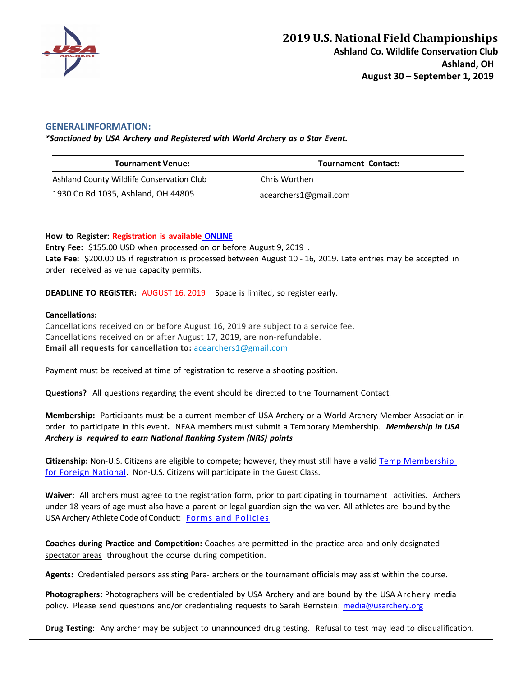

## **GENERALINFORMATION:**

*\*Sanctioned by USA Archery and Registered with World Archery as a Star Event.*

| <b>Tournament Venue:</b>                  | <b>Tournament Contact:</b> |
|-------------------------------------------|----------------------------|
| Ashland County Wildlife Conservation Club | Chris Worthen              |
| 1930 Co Rd 1035, Ashland, OH 44805        | acearchers1@gmail.com      |
|                                           |                            |

#### **How to Register: Registration is available ONLINE**

**Entry Fee:** \$155.00 USD when processed on or before August 9, 2019 . **Late Fee:** \$200.00 US if registration is processed between August 10 - 16, 2019. Late entries may be accepted in order received as venue capacity permits.

**DEADLINE TO REGISTER:** AUGUST 16, 2019 Space is limited, so register early.

#### **Cancellations:**

Cancellations received on or before August 16, 2019 are subject to a service fee. Cancellations received on or after August 17, 2019, are non-refundable. **Email all requests for cancellation to:** acearchers1@gmail.com

Payment must be received at time of registration to reserve a shooting position.

**Questions?** All questions regarding the event should be directed to the Tournament Contact.

**Membership:** Participants must be a current member of USA Archery or a World Archery Member Association in order to participate in this event**.** NFAA members must submit a Temporary Membership. *Membership in USA Archery is required to earn National Ranking System (NRS) points*

**Citizenship:** Non-U.S. Citizens are eligible to compete; however, they must still have a valid Temp Membership for Foreign National. Non-U.S. Citizens will participate in the Guest Class.

**Waiver:** All archers must agree to the registration form, prior to participating in tournament activities. Archers under 18 years of age must also have a parent or legal guardian sign the waiver. All athletes are bound by the USA Archery Athlete Code ofConduct: Forms and Policies

**Coaches during Practice and Competition:** Coaches are permitted in the practice area and only designated spectator areas throughout the course during competition.

**Agents:** Credentialed persons assisting Para- archers or the tournament officials may assist within the course.

**Photographers:** Photographers will be credentialed by USA Archery and are bound by the USA Archery media policy. Please send questions and/or credentialing requests to Sarah Bernstein: media@usarchery.org

**Drug Testing:** Any archer may be subject to unannounced drug testing. Refusal to test may lead to disqualification.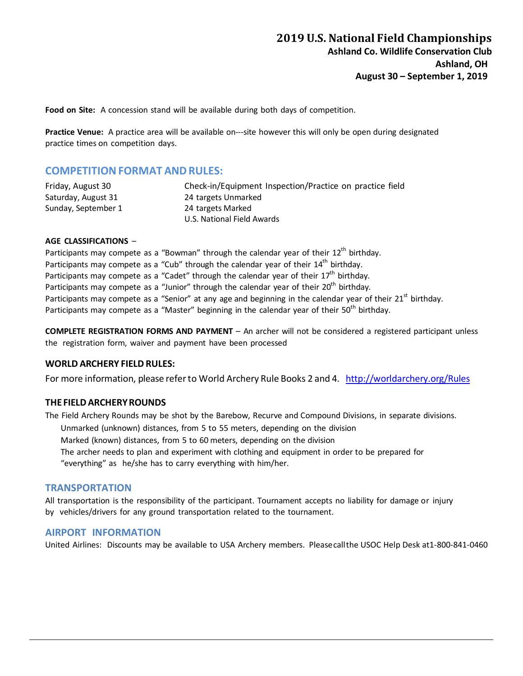**Food on Site:** A concession stand will be available during both days of competition.

**Practice Venue:** A practice area will be available on---site however this will only be open during designated practice times on competition days.

# **COMPETITIONFORMAT ANDRULES:**

| Friday, August 30   | Check-in/Equipment Inspection/Practice on practice field |  |
|---------------------|----------------------------------------------------------|--|
| Saturday, August 31 | 24 targets Unmarked                                      |  |
| Sunday, September 1 | 24 targets Marked                                        |  |
|                     | U.S. National Field Awards                               |  |

#### **AGE CLASSIFICATIONS** –

Participants may compete as a "Bowman" through the calendar year of their  $12<sup>th</sup>$  birthday. Participants may compete as a "Cub" through the calendar year of their  $14<sup>th</sup>$  birthday. Participants may compete as a "Cadet" through the calendar year of their  $17<sup>th</sup>$  birthday. Participants may compete as a "Junior" through the calendar year of their 20<sup>th</sup> birthday. Participants may compete as a "Senior" at any age and beginning in the calendar year of their 21<sup>st</sup> birthday. Participants may compete as a "Master" beginning in the calendar year of their 50<sup>th</sup> birthdav.

**COMPLETE REGISTRATION FORMS AND PAYMENT** – An archer will not be considered a registered participant unless the registration form, waiver and payment have been processed

## **WORLD ARCHERY FIELD RULES:**

For more information, please refer to World Archery Rule Books 2 and 4. http://worldarchery.org/Rules

#### **THE FIELDARCHERYROUNDS**

The Field Archery Rounds may be shot by the Barebow, Recurve and Compound Divisions, in separate divisions.

Unmarked (unknown) distances, from 5 to 55 meters, depending on the division

Marked (known) distances, from 5 to 60 meters, depending on the division

The archer needs to plan and experiment with clothing and equipment in order to be prepared for "everything" as he/she has to carry everything with him/her.

## **TRANSPORTATION**

All transportation is the responsibility of the participant. Tournament accepts no liability for damage or injury by vehicles/drivers for any ground transportation related to the tournament.

## **AIRPORT INFORMATION**

United Airlines: Discounts may be available to USA Archery members. Pleasecallthe USOC Help Desk at1-800-841-0460